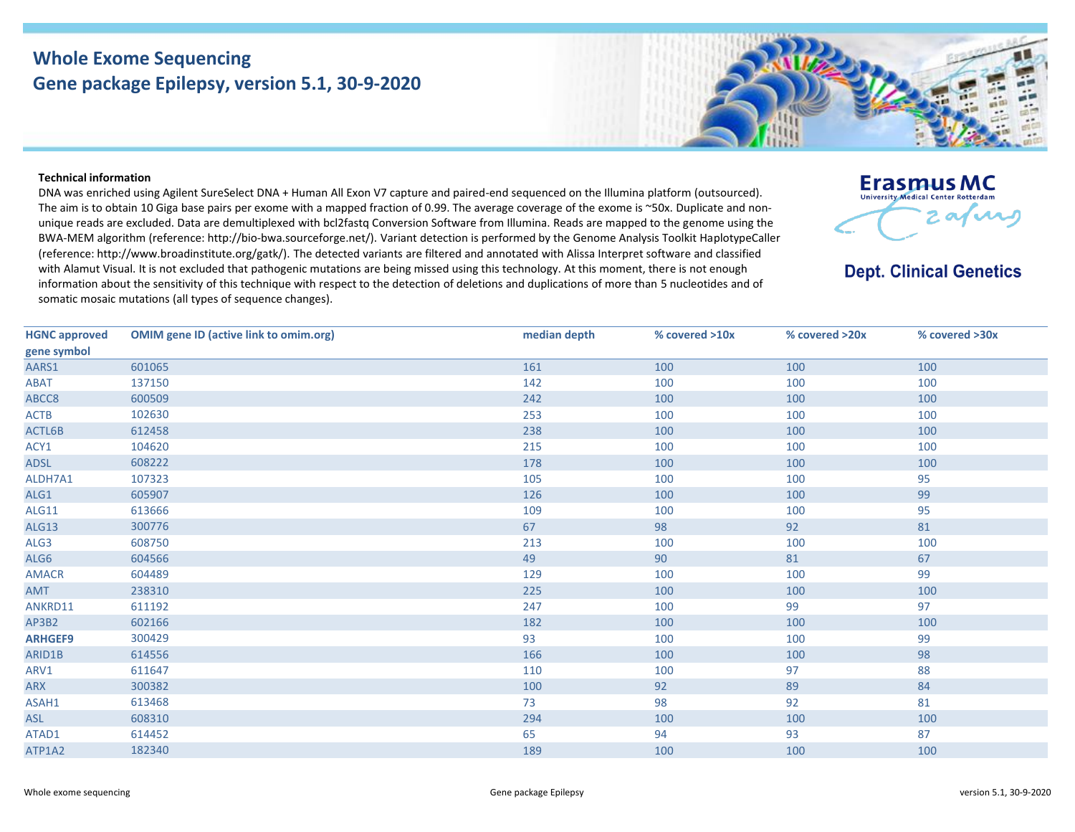## **Whole Exome Sequencing Gene package Epilepsy, version 5.1, 30-9-2020**

## **Technical information**

DNA was enriched using Agilent SureSelect DNA + Human All Exon V7 capture and paired-end sequenced on the Illumina platform (outsourced). The aim is to obtain 10 Giga base pairs per exome with a mapped fraction of 0.99. The average coverage of the exome is ~50x. Duplicate and nonunique reads are excluded. Data are demultiplexed with bcl2fastq Conversion Software from Illumina. Reads are mapped to the genome using the BWA-MEM algorithm (reference: http://bio-bwa.sourceforge.net/). Variant detection is performed by the Genome Analysis Toolkit HaplotypeCaller (reference: http://www.broadinstitute.org/gatk/). The detected variants are filtered and annotated with Alissa Interpret software and classified with Alamut Visual. It is not excluded that pathogenic mutations are being missed using this technology. At this moment, there is not enough information about the sensitivity of this technique with respect to the detection of deletions and duplications of more than 5 nucleotides and of somatic mosaic mutations (all types of sequence changes).

| <b>HGNC approved</b> | <b>OMIM gene ID (active link to omim.org)</b> | median depth | % covered >10x | % covered >20x | % covered >30x |
|----------------------|-----------------------------------------------|--------------|----------------|----------------|----------------|
| gene symbol          |                                               |              |                |                |                |
| AARS1                | 601065                                        | 161          | 100            | 100            | 100            |
| ABAT                 | 137150                                        | 142          | 100            | 100            | 100            |
| ABCC8                | 600509                                        | 242          | 100            | 100            | 100            |
| <b>ACTB</b>          | 102630                                        | 253          | 100            | 100            | 100            |
| ACTL6B               | 612458                                        | 238          | 100            | 100            | 100            |
| ACY1                 | 104620                                        | 215          | 100            | 100            | 100            |
| ADSL                 | 608222                                        | 178          | 100            | 100            | 100            |
| ALDH7A1              | 107323                                        | 105          | 100            | 100            | 95             |
| ALG1                 | 605907                                        | 126          | 100            | 100            | 99             |
| ALG11                | 613666                                        | 109          | 100            | 100            | 95             |
| ALG13                | 300776                                        | 67           | 98             | 92             | 81             |
| ALG3                 | 608750                                        | 213          | 100            | 100            | 100            |
| ALG6                 | 604566                                        | 49           | 90             | 81             | 67             |
| <b>AMACR</b>         | 604489                                        | 129          | 100            | 100            | 99             |
| AMT                  | 238310                                        | 225          | 100            | 100            | 100            |
| ANKRD11              | 611192                                        | 247          | 100            | 99             | 97             |
| AP3B2                | 602166                                        | 182          | 100            | 100            | 100            |
| <b>ARHGEF9</b>       | 300429                                        | 93           | 100            | 100            | 99             |
| ARID1B               | 614556                                        | 166          | 100            | 100            | 98             |
| ARV1                 | 611647                                        | 110          | 100            | 97             | 88             |
| <b>ARX</b>           | 300382                                        | 100          | 92             | 89             | 84             |
| ASAH1                | 613468                                        | 73           | 98             | 92             | 81             |
| ASL                  | 608310                                        | 294          | 100            | 100            | 100            |
| ATAD1                | 614452                                        | 65           | 94             | 93             | 87             |
| ATP1A2               | 182340                                        | 189          | 100            | 100            | 100            |



2 av vas

**Erasmus MC** University Medical Center Rotterdam

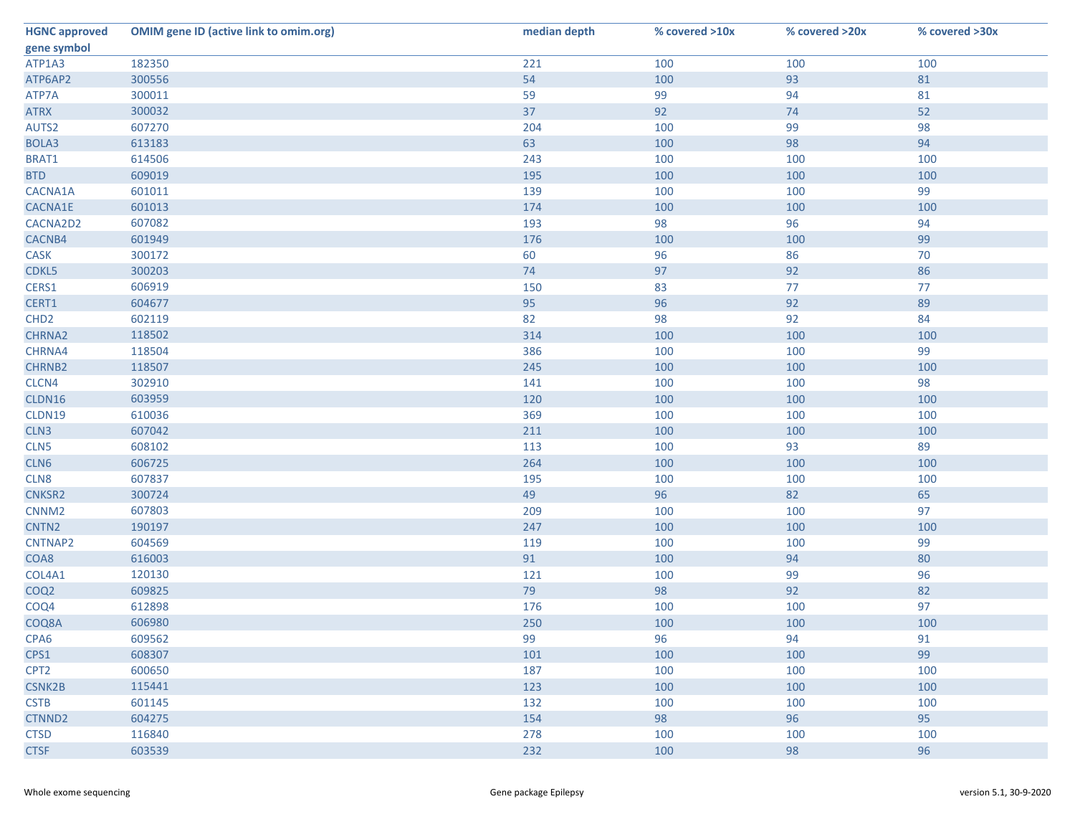| <b>HGNC approved</b> | <b>OMIM gene ID (active link to omim.org)</b> | median depth | % covered >10x | % covered >20x | % covered >30x |
|----------------------|-----------------------------------------------|--------------|----------------|----------------|----------------|
| gene symbol          |                                               |              |                |                |                |
| ATP1A3               | 182350                                        | 221          | 100            | 100            | 100            |
| ATP6AP2              | 300556                                        | 54           | 100            | 93             | 81             |
| ATP7A                | 300011                                        | 59           | 99             | 94             | 81             |
| <b>ATRX</b>          | 300032                                        | 37           | 92             | 74             | 52             |
| AUTS2                | 607270                                        | 204          | 100            | 99             | 98             |
| BOLA3                | 613183                                        | 63           | 100            | 98             | 94             |
| BRAT1                | 614506                                        | 243          | 100            | 100            | 100            |
| <b>BTD</b>           | 609019                                        | 195          | 100            | 100            | 100            |
| CACNA1A              | 601011                                        | 139          | 100            | 100            | 99             |
| CACNA1E              | 601013                                        | 174          | 100            | 100            | 100            |
| CACNA2D2             | 607082                                        | 193          | 98             | 96             | 94             |
| CACNB4               | 601949                                        | 176          | 100            | 100            | 99             |
| <b>CASK</b>          | 300172                                        | 60           | 96             | 86             | 70             |
| CDKL5                | 300203                                        | 74           | 97             | 92             | 86             |
| CERS1                | 606919                                        | 150          | 83             | 77             | 77             |
| CERT1                | 604677                                        | 95           | 96             | 92             | 89             |
| CHD <sub>2</sub>     | 602119                                        | 82           | 98             | 92             | 84             |
| CHRNA2               | 118502                                        | 314          | 100            | 100            | 100            |
| CHRNA4               | 118504                                        | 386          | 100            | 100            | 99             |
| CHRNB2               | 118507                                        | 245          | 100            | 100            | 100            |
| CLCN4                | 302910                                        | 141          | 100            | 100            | 98             |
| CLDN16               | 603959                                        | 120          | 100            | 100            | 100            |
| CLDN19               | 610036                                        | 369          | 100            | 100            | 100            |
| CLN3                 | 607042                                        | 211          | 100            | 100            | 100            |
| CLN5                 | 608102                                        | 113          | 100            | 93             | 89             |
| CLN6                 | 606725                                        | 264          | 100            | 100            | 100            |
| CLN8                 | 607837                                        | 195          | 100            | 100            | 100            |
| CNKSR2               | 300724                                        | 49           | 96             | 82             | 65             |
| CNNM <sub>2</sub>    | 607803                                        | 209          | 100            | 100            | 97             |
| CNTN <sub>2</sub>    | 190197                                        | 247          | 100            | 100            | 100            |
| CNTNAP2              | 604569                                        | 119          | 100            | 100            | 99             |
| COA8                 | 616003                                        | 91           | 100            | 94             | 80             |
| COL4A1               | 120130                                        | 121          | 100            | 99             | 96             |
| COQ <sub>2</sub>     | 609825                                        | 79           | 98             | 92             | 82             |
| COQ4                 | 612898                                        | 176          | 100            | 100            | 97             |
| COQ8A                | 606980                                        | 250          | 100            | 100            | 100            |
| CPA <sub>6</sub>     | 609562                                        | 99           | 96             | 94             | 91             |
| CPS1                 | 608307                                        | 101          | 100            | 100            | 99             |
| CPT <sub>2</sub>     | 600650                                        | 187          | 100            | 100            | 100            |
| <b>CSNK2B</b>        | 115441                                        | 123          | 100            | 100            | 100            |
| <b>CSTB</b>          | 601145                                        | 132          | 100            | 100            | 100            |
| CTNND2               | 604275                                        | 154          | 98             | 96             | 95             |
| <b>CTSD</b>          | 116840                                        | 278          | 100            | 100            | 100            |
| <b>CTSF</b>          | 603539                                        | 232          | 100            | 98             | 96             |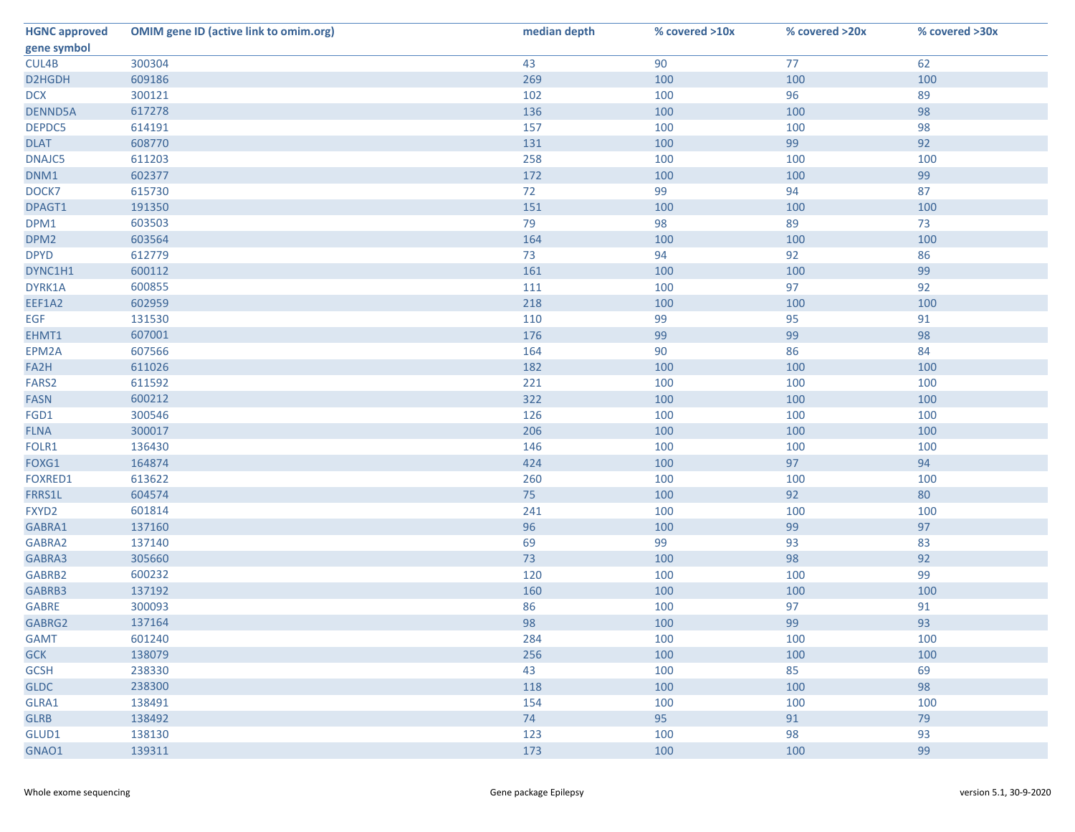| <b>HGNC approved</b> | <b>OMIM gene ID (active link to omim.org)</b> | median depth | % covered >10x | % covered >20x | % covered >30x |
|----------------------|-----------------------------------------------|--------------|----------------|----------------|----------------|
| gene symbol          |                                               |              |                |                |                |
| CUL4B                | 300304                                        | 43           | 90             | 77             | 62             |
| D2HGDH               | 609186                                        | 269          | 100            | 100            | 100            |
| <b>DCX</b>           | 300121                                        | 102          | 100            | 96             | 89             |
| <b>DENND5A</b>       | 617278                                        | 136          | 100            | 100            | 98             |
| DEPDC5               | 614191                                        | 157          | 100            | 100            | 98             |
| <b>DLAT</b>          | 608770                                        | 131          | 100            | 99             | 92             |
| DNAJC5               | 611203                                        | 258          | 100            | 100            | 100            |
| DNM1                 | 602377                                        | 172          | 100            | 100            | 99             |
| DOCK7                | 615730                                        | 72           | 99             | 94             | 87             |
| DPAGT1               | 191350                                        | 151          | 100            | 100            | 100            |
| DPM1                 | 603503                                        | 79           | 98             | 89             | 73             |
| DPM <sub>2</sub>     | 603564                                        | 164          | 100            | 100            | 100            |
| <b>DPYD</b>          | 612779                                        | 73           | 94             | 92             | 86             |
| DYNC1H1              | 600112                                        | 161          | 100            | 100            | 99             |
| DYRK1A               | 600855                                        | 111          | 100            | 97             | 92             |
| EEF1A2               | 602959                                        | 218          | 100            | 100            | 100            |
| <b>EGF</b>           | 131530                                        | 110          | 99             | 95             | 91             |
| EHMT1                | 607001                                        | 176          | 99             | 99             | 98             |
| EPM2A                | 607566                                        | 164          | 90             | 86             | 84             |
| FA2H                 | 611026                                        | 182          | 100            | 100            | 100            |
| FARS <sub>2</sub>    | 611592                                        | 221          | 100            | 100            | 100            |
| <b>FASN</b>          | 600212                                        | 322          | 100            | 100            | 100            |
| FGD1                 | 300546                                        | 126          | 100            | 100            | 100            |
| <b>FLNA</b>          | 300017                                        | 206          | 100            | 100            | 100            |
| FOLR1                | 136430                                        | 146          | 100            | 100            | 100            |
| FOXG1                | 164874                                        | 424          | 100            | 97             | 94             |
| <b>FOXRED1</b>       | 613622                                        | 260          | 100            | 100            | 100            |
| FRRS1L               | 604574                                        | 75           | 100            | 92             | 80             |
| FXYD2                | 601814                                        | 241          | 100            | 100            | 100            |
| GABRA1               | 137160                                        | 96           | 100            | 99             | 97             |
| GABRA2               | 137140                                        | 69           | 99             | 93             | 83             |
| GABRA3               | 305660                                        | 73           | 100            | 98             | 92             |
| GABRB2               | 600232                                        | 120          | 100            | 100            | 99             |
| GABRB3               | 137192                                        | 160          | 100            | 100            | 100            |
| <b>GABRE</b>         | 300093                                        | 86           | 100            | 97             | 91             |
| GABRG2               | 137164                                        | 98           | 100            | 99             | 93             |
| <b>GAMT</b>          | 601240                                        | 284          | 100            | 100            | 100            |
| <b>GCK</b>           | 138079                                        | 256          | 100            | 100            | 100            |
| <b>GCSH</b>          | 238330                                        | 43           | 100            | 85             | 69             |
| <b>GLDC</b>          | 238300                                        | 118          | 100            | 100            | 98             |
| GLRA1                | 138491                                        | 154          | 100            | 100            | 100            |
| <b>GLRB</b>          | 138492                                        | 74           | 95             | 91             | 79             |
| GLUD1                | 138130                                        | 123          | 100            | 98             | 93             |
| GNAO1                | 139311                                        | 173          | 100            | 100            | 99             |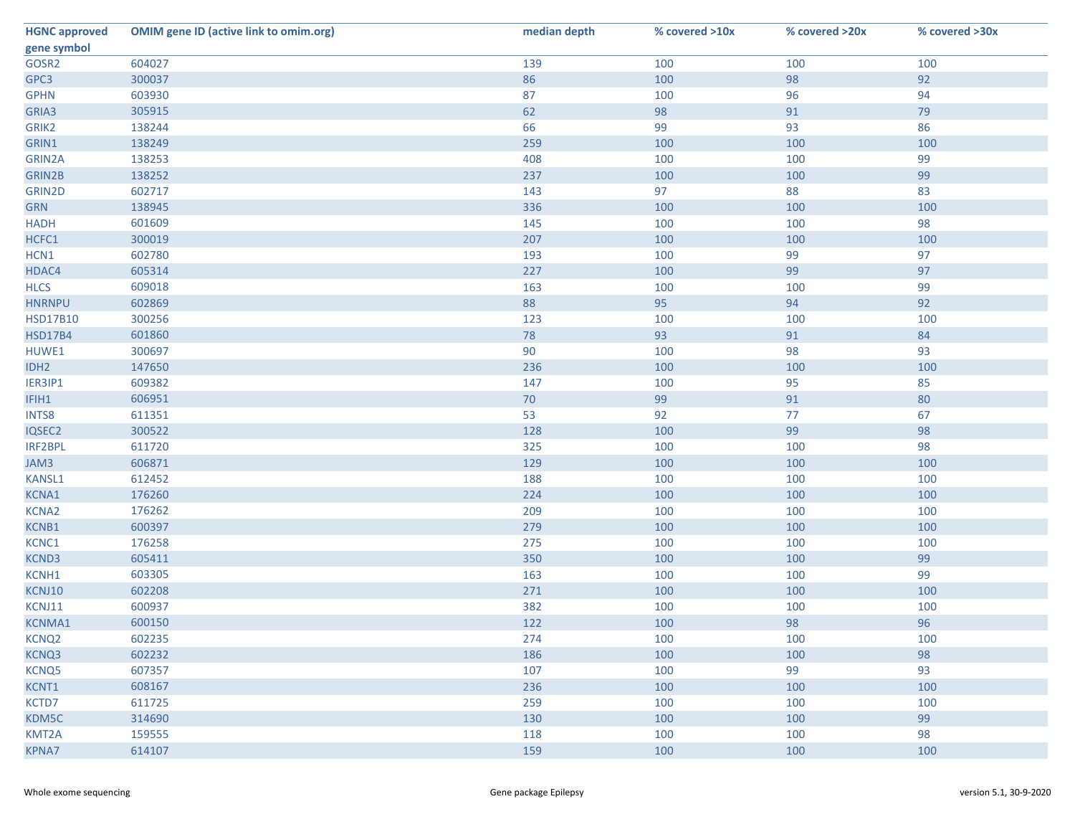| <b>HGNC approved</b> | <b>OMIM gene ID (active link to omim.org)</b> | median depth | % covered >10x | % covered >20x | % covered >30x |
|----------------------|-----------------------------------------------|--------------|----------------|----------------|----------------|
| gene symbol          |                                               |              |                |                |                |
| GOSR2                | 604027                                        | 139          | 100            | 100            | 100            |
| GPC3                 | 300037                                        | 86           | 100            | 98             | 92             |
| <b>GPHN</b>          | 603930                                        | 87           | 100            | 96             | 94             |
| GRIA3                | 305915                                        | 62           | 98             | 91             | 79             |
| GRIK2                | 138244                                        | 66           | 99             | 93             | 86             |
| GRIN1                | 138249                                        | 259          | 100            | 100            | 100            |
| GRIN2A               | 138253                                        | 408          | 100            | 100            | 99             |
| GRIN2B               | 138252                                        | 237          | 100            | 100            | 99             |
| GRIN2D               | 602717                                        | 143          | 97             | 88             | 83             |
| <b>GRN</b>           | 138945                                        | 336          | 100            | 100            | 100            |
| <b>HADH</b>          | 601609                                        | 145          | 100            | 100            | 98             |
| HCFC1                | 300019                                        | 207          | 100            | 100            | 100            |
| HCN1                 | 602780                                        | 193          | 100            | 99             | 97             |
| HDAC4                | 605314                                        | 227          | 100            | 99             | 97             |
| <b>HLCS</b>          | 609018                                        | 163          | 100            | 100            | 99             |
| <b>HNRNPU</b>        | 602869                                        | 88           | 95             | 94             | 92             |
| <b>HSD17B10</b>      | 300256                                        | 123          | 100            | 100            | 100            |
| <b>HSD17B4</b>       | 601860                                        | 78           | 93             | 91             | 84             |
| HUWE1                | 300697                                        | 90           | 100            | 98             | 93             |
| IDH <sub>2</sub>     | 147650                                        | 236          | 100            | 100            | 100            |
| IER3IP1              | 609382                                        | 147          | 100            | 95             | 85             |
| IFIH1                | 606951                                        | 70           | 99             | 91             | 80             |
| INTS8                | 611351                                        | 53           | 92             | 77             | 67             |
| IQSEC2               | 300522                                        | 128          | 100            | 99             | 98             |
| IRF2BPL              | 611720                                        | 325          | 100            | 100            | 98             |
| JAM3                 | 606871                                        | 129          | 100            | 100            | 100            |
| KANSL1               | 612452                                        | 188          | 100            | 100            | 100            |
| KCNA1                | 176260                                        | 224          | 100            | 100            | 100            |
| KCNA2                | 176262                                        | 209          | 100            | 100            | 100            |
| KCNB1                | 600397                                        | 279          | 100            | 100            | 100            |
| KCNC1                | 176258                                        | 275          | 100            | 100            | 100            |
| KCND3                | 605411                                        | 350          | 100            | 100            | 99             |
| KCNH1                | 603305                                        | 163          | 100            | 100            | 99             |
| KCNJ10               | 602208                                        | 271          | 100            | 100            | 100            |
| KCNJ11               | 600937                                        | 382          | 100            | 100            | 100            |
| <b>KCNMA1</b>        | 600150                                        | 122          | 100            | 98             | 96             |
| KCNQ <sub>2</sub>    | 602235                                        | 274          | 100            | 100            | 100            |
| KCNQ3                | 602232                                        | 186          | 100            | 100            | 98             |
| KCNQ5                | 607357                                        | 107          | 100            | 99             | 93             |
| KCNT1                | 608167                                        | 236          | 100            | 100            | 100            |
| KCTD7                | 611725                                        | 259          | 100            | 100            | 100            |
| KDM5C                | 314690                                        | 130          | 100            | 100            | 99             |
| KMT2A                | 159555                                        | 118          | 100            | 100            | 98             |
| <b>KPNA7</b>         | 614107                                        | 159          | 100            | 100            | 100            |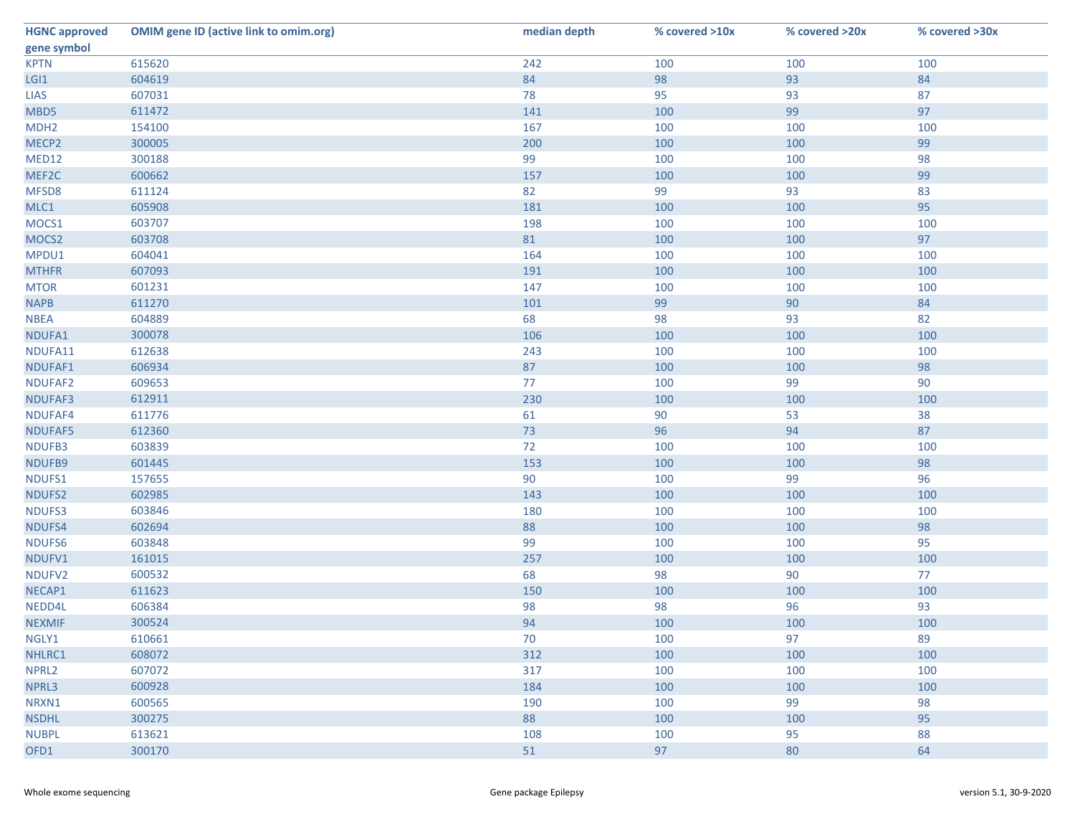| <b>HGNC approved</b> | <b>OMIM gene ID (active link to omim.org)</b> | median depth | % covered >10x | % covered >20x | % covered >30x |
|----------------------|-----------------------------------------------|--------------|----------------|----------------|----------------|
| gene symbol          |                                               |              |                |                |                |
| <b>KPTN</b>          | 615620                                        | 242          | 100            | 100            | 100            |
| LGI1                 | 604619                                        | 84           | 98             | 93             | 84             |
| <b>LIAS</b>          | 607031                                        | 78           | 95             | 93             | 87             |
| MBD5                 | 611472                                        | 141          | 100            | 99             | 97             |
| MDH <sub>2</sub>     | 154100                                        | 167          | 100            | 100            | 100            |
| MECP <sub>2</sub>    | 300005                                        | 200          | 100            | 100            | 99             |
| MED12                | 300188                                        | 99           | 100            | 100            | 98             |
| MEF2C                | 600662                                        | 157          | 100            | 100            | 99             |
| MFSD8                | 611124                                        | 82           | 99             | 93             | 83             |
| MLC1                 | 605908                                        | 181          | 100            | 100            | 95             |
| MOCS1                | 603707                                        | 198          | 100            | 100            | 100            |
| MOCS <sub>2</sub>    | 603708                                        | 81           | 100            | 100            | 97             |
| MPDU1                | 604041                                        | 164          | 100            | 100            | 100            |
| <b>MTHFR</b>         | 607093                                        | 191          | 100            | 100            | 100            |
| <b>MTOR</b>          | 601231                                        | 147          | 100            | 100            | 100            |
| <b>NAPB</b>          | 611270                                        | 101          | 99             | 90             | 84             |
| <b>NBEA</b>          | 604889                                        | 68           | 98             | 93             | 82             |
| NDUFA1               | 300078                                        | 106          | 100            | 100            | 100            |
| NDUFA11              | 612638                                        | 243          | 100            | 100            | 100            |
| NDUFAF1              | 606934                                        | 87           | 100            | 100            | 98             |
| NDUFAF2              | 609653                                        | 77           | 100            | 99             | 90             |
| NDUFAF3              | 612911                                        | 230          | 100            | 100            | 100            |
| NDUFAF4              | 611776                                        | 61           | 90             | 53             | 38             |
| NDUFAF5              | 612360                                        | 73           | 96             | 94             | 87             |
| NDUFB3               | 603839                                        | 72           | 100            | 100            | 100            |
| NDUFB9               | 601445                                        | 153          | 100            | 100            | 98             |
| NDUFS1               | 157655                                        | 90           | 100            | 99             | 96             |
| NDUFS2               | 602985                                        | 143          | 100            | 100            | 100            |
| NDUFS3               | 603846                                        | 180          | 100            | 100            | 100            |
| NDUFS4               | 602694                                        | 88           | 100            | 100            | 98             |
| NDUFS6               | 603848                                        | 99           | 100            | 100            | 95             |
| NDUFV1               | 161015                                        | 257          | 100            | 100            | 100            |
| NDUFV2               | 600532                                        | 68           | 98             | 90             | 77             |
| NECAP1               | 611623                                        | 150          | 100            | 100            | 100            |
| NEDD4L               | 606384                                        | 98           | 98             | 96             | 93             |
| <b>NEXMIF</b>        | 300524                                        | 94           | 100            | 100            | 100            |
| NGLY1                | 610661                                        | 70           | 100            | 97             | 89             |
| NHLRC1               | 608072                                        | 312          | 100            | 100            | 100            |
| NPRL <sub>2</sub>    | 607072                                        | 317          | 100            | 100            | 100            |
| NPRL3                | 600928                                        | 184          | 100            | 100            | 100            |
| NRXN1                | 600565                                        | 190          | 100            | 99             | 98             |
| <b>NSDHL</b>         | 300275                                        | 88           | 100            | 100            | 95             |
| <b>NUBPL</b>         | 613621                                        | 108          | 100            | 95             | 88             |
| OFD1                 | 300170                                        | 51           | 97             | 80             | 64             |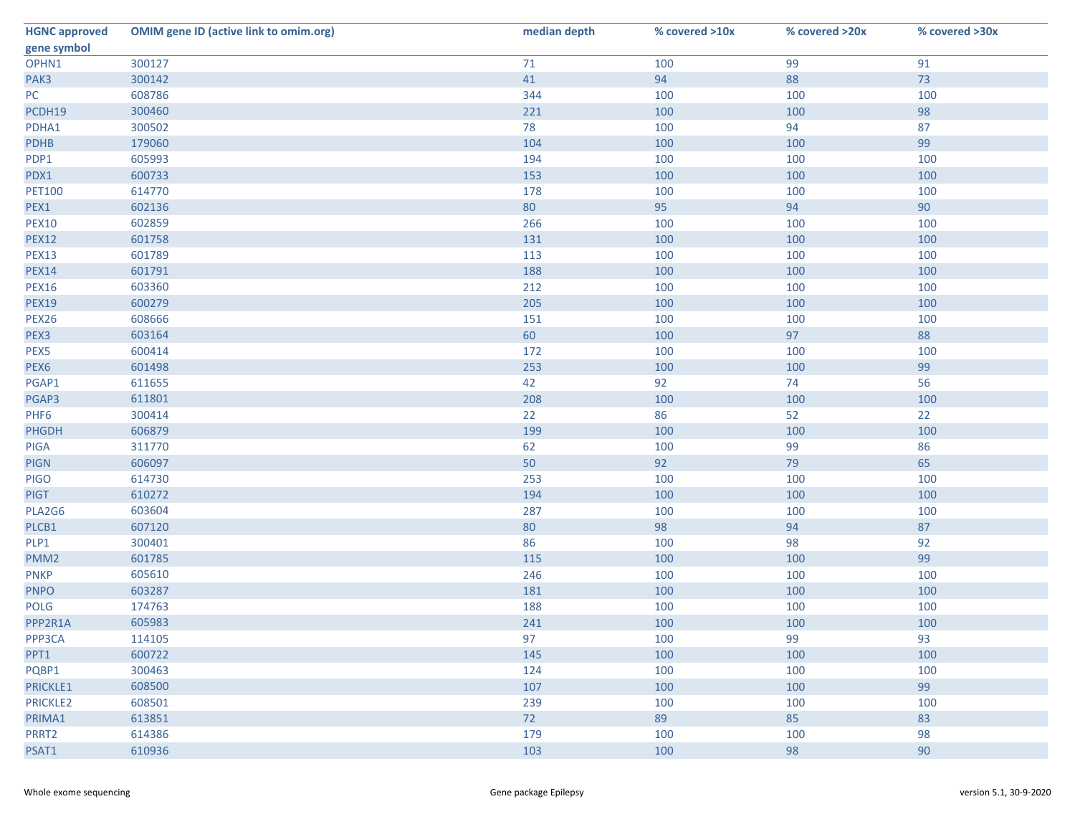| <b>HGNC approved</b> | <b>OMIM gene ID (active link to omim.org)</b> | median depth | % covered >10x | % covered >20x | % covered >30x |
|----------------------|-----------------------------------------------|--------------|----------------|----------------|----------------|
| gene symbol          |                                               |              |                |                |                |
| OPHN1                | 300127                                        | 71           | 100            | 99             | 91             |
| PAK3                 | 300142                                        | 41           | 94             | 88             | 73             |
| PC                   | 608786                                        | 344          | 100            | 100            | 100            |
| PCDH19               | 300460                                        | 221          | 100            | 100            | 98             |
| PDHA1                | 300502                                        | 78           | 100            | 94             | 87             |
| <b>PDHB</b>          | 179060                                        | 104          | 100            | 100            | 99             |
| PDP1                 | 605993                                        | 194          | 100            | 100            | 100            |
| PDX1                 | 600733                                        | 153          | 100            | 100            | 100            |
| <b>PET100</b>        | 614770                                        | 178          | 100            | 100            | 100            |
| PEX1                 | 602136                                        | 80           | 95             | 94             | 90             |
| <b>PEX10</b>         | 602859                                        | 266          | 100            | 100            | 100            |
| <b>PEX12</b>         | 601758                                        | 131          | 100            | 100            | 100            |
| <b>PEX13</b>         | 601789                                        | 113          | 100            | 100            | 100            |
| <b>PEX14</b>         | 601791                                        | 188          | 100            | 100            | 100            |
| <b>PEX16</b>         | 603360                                        | 212          | 100            | 100            | 100            |
| <b>PEX19</b>         | 600279                                        | 205          | 100            | 100            | 100            |
| PEX26                | 608666                                        | 151          | 100            | 100            | 100            |
| PEX3                 | 603164                                        | 60           | 100            | 97             | 88             |
| PEX5                 | 600414                                        | 172          | 100            | 100            | 100            |
| PEX6                 | 601498                                        | 253          | 100            | 100            | 99             |
| PGAP1                | 611655                                        | 42           | 92             | 74             | 56             |
| PGAP3                | 611801                                        | 208          | 100            | 100            | 100            |
| PHF <sub>6</sub>     | 300414                                        | 22           | 86             | 52             | 22             |
| <b>PHGDH</b>         | 606879                                        | 199          | 100            | 100            | 100            |
| <b>PIGA</b>          | 311770                                        | 62           | 100            | 99             | 86             |
| <b>PIGN</b>          | 606097                                        | 50           | 92             | 79             | 65             |
| <b>PIGO</b>          | 614730                                        | 253          | 100            | 100            | 100            |
| <b>PIGT</b>          | 610272                                        | 194          | 100            | 100            | 100            |
| PLA2G6               | 603604                                        | 287          | 100            | 100            | 100            |
| PLCB1                | 607120                                        | 80           | 98             | 94             | 87             |
| PLP1                 | 300401                                        | 86           | 100            | 98             | 92             |
| PMM <sub>2</sub>     | 601785                                        | 115          | 100            | 100            | 99             |
| <b>PNKP</b>          | 605610                                        | 246          | 100            | 100            | 100            |
| <b>PNPO</b>          | 603287                                        | 181          | 100            | 100            | 100            |
| <b>POLG</b>          | 174763                                        | 188          | 100            | 100            | 100            |
| PPP2R1A              | 605983                                        | 241          | 100            | 100            | 100            |
| PPP3CA               | 114105                                        | 97           | 100            | 99             | 93             |
| PPT1                 | 600722                                        | 145          | 100            | 100            | 100            |
| PQBP1                | 300463                                        | 124          | 100            | 100            | 100            |
| PRICKLE1             | 608500                                        | 107          | 100            | 100            | 99             |
| <b>PRICKLE2</b>      | 608501                                        | 239          | 100            | 100            | 100            |
| PRIMA1               | 613851                                        | 72           | 89             | 85             | 83             |
| PRRT2                | 614386                                        | 179          | 100            | 100            | 98             |
| PSAT1                | 610936                                        | 103          | 100            | 98             | 90             |
|                      |                                               |              |                |                |                |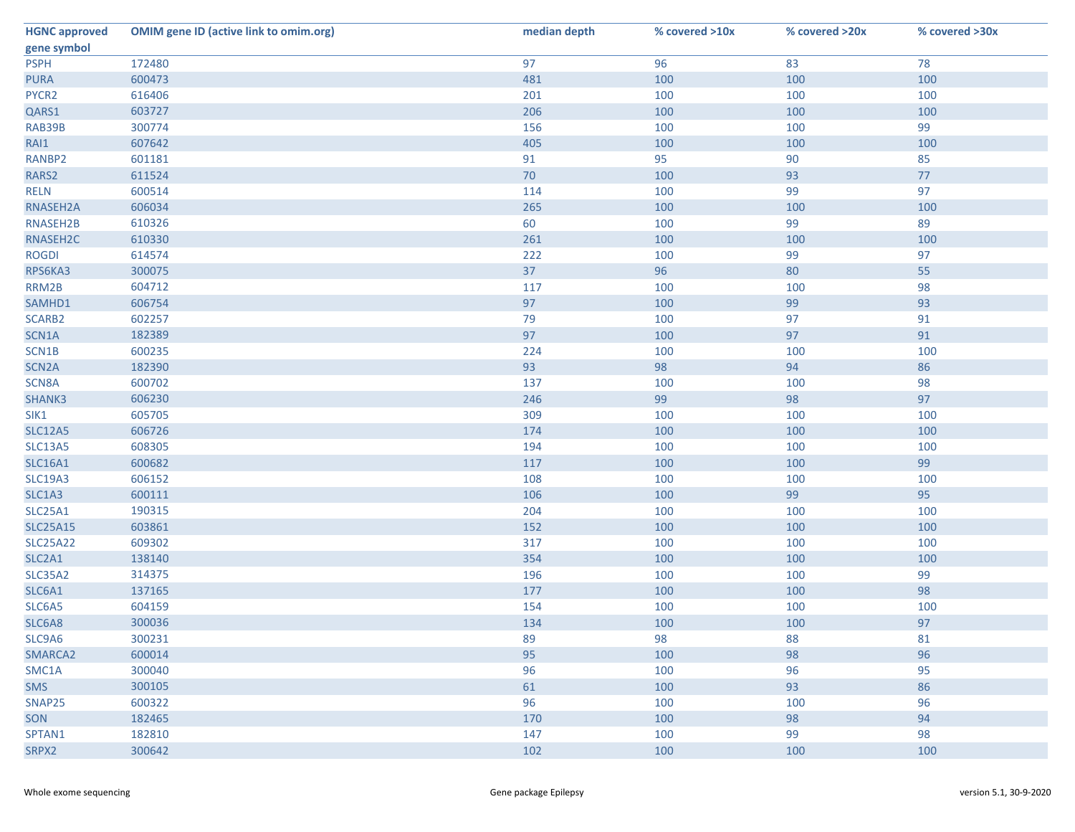| <b>HGNC approved</b> | <b>OMIM gene ID (active link to omim.org)</b> | median depth | % covered >10x | % covered >20x | % covered >30x |
|----------------------|-----------------------------------------------|--------------|----------------|----------------|----------------|
| gene symbol          |                                               |              |                |                |                |
| <b>PSPH</b>          | 172480                                        | 97           | 96             | 83             | 78             |
| <b>PURA</b>          | 600473                                        | 481          | 100            | 100            | 100            |
| PYCR2                | 616406                                        | 201          | 100            | 100            | 100            |
| QARS1                | 603727                                        | 206          | 100            | 100            | 100            |
| RAB39B               | 300774                                        | 156          | 100            | 100            | 99             |
| RAI1                 | 607642                                        | 405          | 100            | 100            | 100            |
| RANBP2               | 601181                                        | 91           | 95             | 90             | 85             |
| RARS2                | 611524                                        | 70           | 100            | 93             | 77             |
| <b>RELN</b>          | 600514                                        | 114          | 100            | 99             | 97             |
| RNASEH2A             | 606034                                        | 265          | 100            | 100            | 100            |
| RNASEH2B             | 610326                                        | 60           | 100            | 99             | 89             |
| RNASEH2C             | 610330                                        | 261          | 100            | 100            | 100            |
| <b>ROGDI</b>         | 614574                                        | 222          | 100            | 99             | 97             |
| RPS6KA3              | 300075                                        | 37           | 96             | 80             | 55             |
| RRM2B                | 604712                                        | 117          | 100            | 100            | 98             |
| SAMHD1               | 606754                                        | 97           | 100            | 99             | 93             |
| SCARB2               | 602257                                        | 79           | 100            | 97             | 91             |
| SCN1A                | 182389                                        | 97           | 100            | 97             | 91             |
| SCN1B                | 600235                                        | 224          | 100            | 100            | 100            |
| SCN <sub>2</sub> A   | 182390                                        | 93           | 98             | 94             | 86             |
| SCN8A                | 600702                                        | 137          | 100            | 100            | 98             |
| SHANK3               | 606230                                        | 246          | 99             | 98             | 97             |
| SIK1                 | 605705                                        | 309          | 100            | 100            | 100            |
| <b>SLC12A5</b>       | 606726                                        | 174          | 100            | 100            | 100            |
| <b>SLC13A5</b>       | 608305                                        | 194          | 100            | 100            | 100            |
| <b>SLC16A1</b>       | 600682                                        | 117          | 100            | 100            | 99             |
| <b>SLC19A3</b>       | 606152                                        | 108          | 100            | 100            | 100            |
| SLC1A3               | 600111                                        | 106          | 100            | 99             | 95             |
| <b>SLC25A1</b>       | 190315                                        | 204          | 100            | 100            | 100            |
| <b>SLC25A15</b>      | 603861                                        | 152          | 100            | 100            | 100            |
| <b>SLC25A22</b>      | 609302                                        | 317          | 100            | 100            | 100            |
| SLC2A1               | 138140                                        | 354          | 100            | 100            | 100            |
| <b>SLC35A2</b>       | 314375                                        | 196          | 100            | 100            | 99             |
| SLC6A1               | 137165                                        | 177          | 100            | 100            | 98             |
| SLC6A5               | 604159                                        | 154          | 100            | 100            | 100            |
| SLC6A8               | 300036                                        | 134          | 100            | 100            | 97             |
| SLC9A6               | 300231                                        | 89           | 98             | 88             | 81             |
| SMARCA2              | 600014                                        | 95           | 100            | 98             | 96             |
| SMC1A                | 300040                                        | 96           | 100            | 96             | 95             |
| <b>SMS</b>           | 300105                                        | 61           | 100            | 93             | 86             |
| SNAP25               | 600322                                        | 96           | 100            | 100            | 96             |
| SON                  | 182465                                        | 170          | 100            | 98             | 94             |
| SPTAN1               | 182810                                        | 147          | 100            | 99             | 98             |
| SRPX2                | 300642                                        | 102          | 100            | 100            | 100            |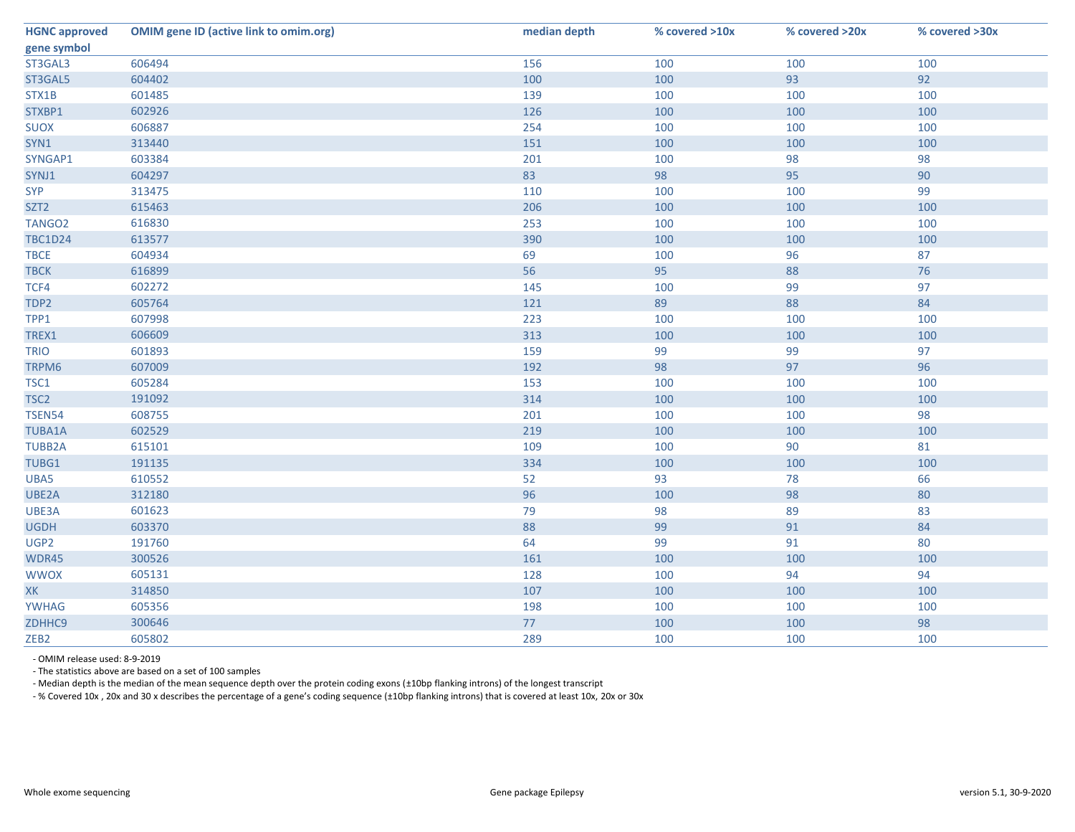| <b>HGNC approved</b> | <b>OMIM gene ID (active link to omim.org)</b> | median depth | % covered >10x | % covered >20x | % covered >30x |
|----------------------|-----------------------------------------------|--------------|----------------|----------------|----------------|
| gene symbol          |                                               |              |                |                |                |
| ST3GAL3              | 606494                                        | 156          | 100            | 100            | 100            |
| ST3GAL5              | 604402                                        | 100          | 100            | 93             | 92             |
| STX1B                | 601485                                        | 139          | 100            | 100            | 100            |
| STXBP1               | 602926                                        | 126          | 100            | 100            | 100            |
| <b>SUOX</b>          | 606887                                        | 254          | 100            | 100            | 100            |
| SYN1                 | 313440                                        | 151          | 100            | 100            | 100            |
| SYNGAP1              | 603384                                        | 201          | 100            | 98             | 98             |
| SYNJ1                | 604297                                        | 83           | 98             | 95             | 90             |
| <b>SYP</b>           | 313475                                        | 110          | 100            | 100            | 99             |
| SZT <sub>2</sub>     | 615463                                        | 206          | 100            | 100            | 100            |
| TANGO <sub>2</sub>   | 616830                                        | 253          | 100            | 100            | 100            |
| <b>TBC1D24</b>       | 613577                                        | 390          | 100            | 100            | 100            |
| <b>TBCE</b>          | 604934                                        | 69           | 100            | 96             | 87             |
| <b>TBCK</b>          | 616899                                        | 56           | 95             | 88             | 76             |
| TCF4                 | 602272                                        | 145          | 100            | 99             | 97             |
| TDP2                 | 605764                                        | 121          | 89             | 88             | 84             |
| TPP1                 | 607998                                        | 223          | 100            | 100            | 100            |
| TREX1                | 606609                                        | 313          | 100            | 100            | 100            |
| <b>TRIO</b>          | 601893                                        | 159          | 99             | 99             | 97             |
| TRPM6                | 607009                                        | 192          | 98             | 97             | 96             |
| TSC1                 | 605284                                        | 153          | 100            | 100            | 100            |
| TSC <sub>2</sub>     | 191092                                        | 314          | 100            | 100            | 100            |
| <b>TSEN54</b>        | 608755                                        | 201          | 100            | 100            | 98             |
| <b>TUBA1A</b>        | 602529                                        | 219          | 100            | 100            | 100            |
| <b>TUBB2A</b>        | 615101                                        | 109          | 100            | 90             | 81             |
| TUBG1                | 191135                                        | 334          | 100            | 100            | 100            |
| UBA5                 | 610552                                        | 52           | 93             | 78             | 66             |
| UBE2A                | 312180                                        | 96           | 100            | 98             | 80             |
| UBE3A                | 601623                                        | 79           | 98             | 89             | 83             |
| <b>UGDH</b>          | 603370                                        | 88           | 99             | 91             | 84             |
| UGP2                 | 191760                                        | 64           | 99             | 91             | 80             |
| WDR45                | 300526                                        | 161          | 100            | 100            | 100            |
| <b>WWOX</b>          | 605131                                        | 128          | 100            | 94             | 94             |
| <b>XK</b>            | 314850                                        | 107          | 100            | 100            | 100            |
| <b>YWHAG</b>         | 605356                                        | 198          | 100            | 100            | 100            |
| ZDHHC9               | 300646                                        | 77           | 100            | 100            | 98             |
| ZEB <sub>2</sub>     | 605802                                        | 289          | 100            | 100            | 100            |

- OMIM release used: 8-9-2019

- The statistics above are based on a set of 100 samples

- Median depth is the median of the mean sequence depth over the protein coding exons (±10bp flanking introns) of the longest transcript

- % Covered 10x , 20x and 30 x describes the percentage of a gene's coding sequence (±10bp flanking introns) that is covered at least 10x, 20x or 30x